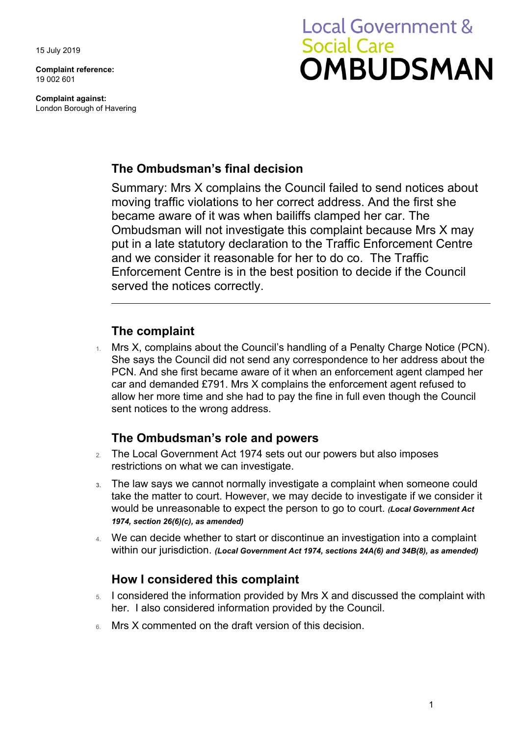15 July 2019

**Complaint reference:**  19 002 601

**Complaint against:**  London Borough of Havering

# **Local Government & Social Care OMBUDSMAN**

# **The Ombudsman's final decision**

 moving traffic violations to her correct address. And the first she Summary: Mrs X complains the Council failed to send notices about became aware of it was when bailiffs clamped her car. The Ombudsman will not investigate this complaint because Mrs X may put in a late statutory declaration to the Traffic Enforcement Centre and we consider it reasonable for her to do co. The Traffic Enforcement Centre is in the best position to decide if the Council served the notices correctly.

## **The complaint**

1. Mrs X, complains about the Council's handling of a Penalty Charge Notice (PCN). She says the Council did not send any correspondence to her address about the PCN. And she first became aware of it when an enforcement agent clamped her car and demanded £791. Mrs X complains the enforcement agent refused to allow her more time and she had to pay the fine in full even though the Council sent notices to the wrong address.

# **The Ombudsman's role and powers**

- 2. The Local Government Act 1974 sets out our powers but also imposes restrictions on what we can investigate.
- would be unreasonable to expect the person to go to court. *(Local Government Act*  **3.** The law says we cannot normally investigate a complaint when someone could take the matter to court. However, we may decide to investigate if we consider it *1974, section 26(6)(c), as amended)*
- 4. We can decide whether to start or discontinue an investigation into a complaint within our jurisdiction. *(Local Government Act 1974, sections 24A(6) and 34B(8), as amended)*

## **How I considered this complaint**

- 5. I considered the information provided by Mrs X and discussed the complaint with her. I also considered information provided by the Council.
- 6. Mrs X commented on the draft version of this decision.